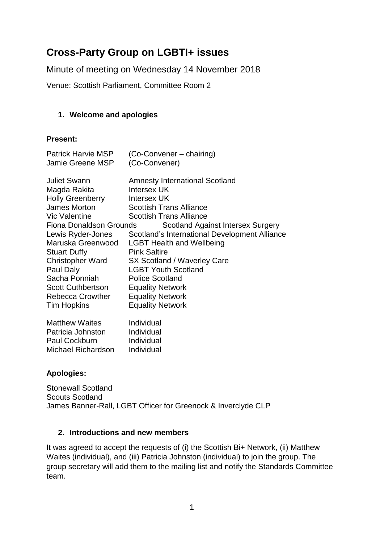# **Cross-Party Group on LGBTI+ issues**

Minute of meeting on Wednesday 14 November 2018

Venue: Scottish Parliament, Committee Room 2

#### **1. Welcome and apologies**

#### **Present:**

| <b>Patrick Harvie MSP</b> | (Co-Convener – chairing)                      |
|---------------------------|-----------------------------------------------|
| <b>Jamie Greene MSP</b>   | (Co-Convener)                                 |
| <b>Juliet Swann</b>       | <b>Amnesty International Scotland</b>         |
| Magda Rakita              | <b>Intersex UK</b>                            |
| <b>Holly Greenberry</b>   | Intersex UK                                   |
| James Morton              | <b>Scottish Trans Alliance</b>                |
| <b>Vic Valentine</b>      | <b>Scottish Trans Alliance</b>                |
| Fiona Donaldson Grounds   | <b>Scotland Against Intersex Surgery</b>      |
| Lewis Ryder-Jones         | Scotland's International Development Alliance |
| Maruska Greenwood         | <b>LGBT Health and Wellbeing</b>              |
| <b>Stuart Duffy</b>       | <b>Pink Saltire</b>                           |
| <b>Christopher Ward</b>   | SX Scotland / Waverley Care                   |
| Paul Daly                 | <b>LGBT Youth Scotland</b>                    |
| Sacha Ponniah             | <b>Police Scotland</b>                        |
| <b>Scott Cuthbertson</b>  | <b>Equality Network</b>                       |
| <b>Rebecca Crowther</b>   | <b>Equality Network</b>                       |
| <b>Tim Hopkins</b>        | <b>Equality Network</b>                       |
| <b>Matthew Waites</b>     | Individual                                    |

| Individual |
|------------|
| Individual |
| Individual |
|            |

## **Apologies:**

Stonewall Scotland Scouts Scotland James Banner-Rall, LGBT Officer for Greenock & Inverclyde CLP

#### **2. Introductions and new members**

It was agreed to accept the requests of (i) the Scottish Bi+ Network, (ii) Matthew Waites (individual), and (iii) Patricia Johnston (individual) to join the group. The group secretary will add them to the mailing list and notify the Standards Committee team.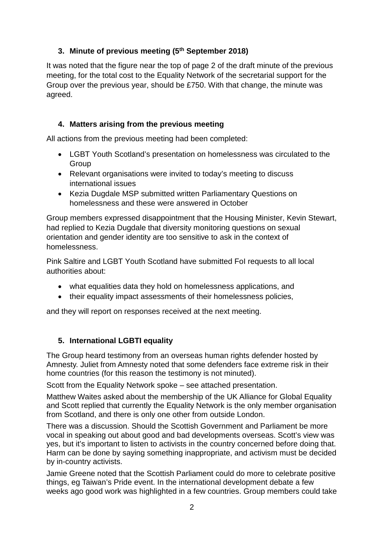# **3. Minute of previous meeting (5th September 2018)**

It was noted that the figure near the top of page 2 of the draft minute of the previous meeting, for the total cost to the Equality Network of the secretarial support for the Group over the previous year, should be £750. With that change, the minute was agreed.

# **4. Matters arising from the previous meeting**

All actions from the previous meeting had been completed:

- LGBT Youth Scotland's presentation on homelessness was circulated to the **Group**
- Relevant organisations were invited to today's meeting to discuss international issues
- Kezia Dugdale MSP submitted written Parliamentary Questions on homelessness and these were answered in October

Group members expressed disappointment that the Housing Minister, Kevin Stewart, had replied to Kezia Dugdale that diversity monitoring questions on sexual orientation and gender identity are too sensitive to ask in the context of homelessness.

Pink Saltire and LGBT Youth Scotland have submitted FoI requests to all local authorities about:

- what equalities data they hold on homelessness applications, and
- their equality impact assessments of their homelessness policies,

and they will report on responses received at the next meeting.

## **5. International LGBTI equality**

The Group heard testimony from an overseas human rights defender hosted by Amnesty. Juliet from Amnesty noted that some defenders face extreme risk in their home countries (for this reason the testimony is not minuted).

Scott from the Equality Network spoke – see attached presentation.

Matthew Waites asked about the membership of the UK Alliance for Global Equality and Scott replied that currently the Equality Network is the only member organisation from Scotland, and there is only one other from outside London.

There was a discussion. Should the Scottish Government and Parliament be more vocal in speaking out about good and bad developments overseas. Scott's view was yes, but it's important to listen to activists in the country concerned before doing that. Harm can be done by saying something inappropriate, and activism must be decided by in-country activists.

Jamie Greene noted that the Scottish Parliament could do more to celebrate positive things, eg Taiwan's Pride event. In the international development debate a few weeks ago good work was highlighted in a few countries. Group members could take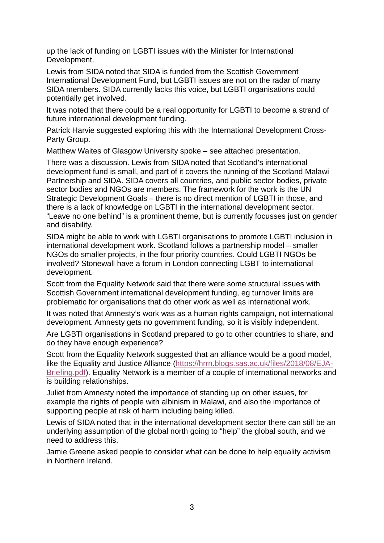up the lack of funding on LGBTI issues with the Minister for International Development.

Lewis from SIDA noted that SIDA is funded from the Scottish Government International Development Fund, but LGBTI issues are not on the radar of many SIDA members. SIDA currently lacks this voice, but LGBTI organisations could potentially get involved.

It was noted that there could be a real opportunity for LGBTI to become a strand of future international development funding.

Patrick Harvie suggested exploring this with the International Development Cross-Party Group.

Matthew Waites of Glasgow University spoke – see attached presentation.

There was a discussion. Lewis from SIDA noted that Scotland's international development fund is small, and part of it covers the running of the Scotland Malawi Partnership and SIDA. SIDA covers all countries, and public sector bodies, private sector bodies and NGOs are members. The framework for the work is the UN Strategic Development Goals – there is no direct mention of LGBTI in those, and there is a lack of knowledge on LGBTI in the international development sector. "Leave no one behind" is a prominent theme, but is currently focusses just on gender and disability.

SIDA might be able to work with LGBTI organisations to promote LGBTI inclusion in international development work. Scotland follows a partnership model – smaller NGOs do smaller projects, in the four priority countries. Could LGBTI NGOs be involved? Stonewall have a forum in London connecting LGBT to international development.

Scott from the Equality Network said that there were some structural issues with Scottish Government international development funding, eg turnover limits are problematic for organisations that do other work as well as international work.

It was noted that Amnesty's work was as a human rights campaign, not international development. Amnesty gets no government funding, so it is visibly independent.

Are LGBTI organisations in Scotland prepared to go to other countries to share, and do they have enough experience?

Scott from the Equality Network suggested that an alliance would be a good model, like the Equality and Justice Alliance [\(https://hrrn.blogs.sas.ac.uk/files/2018/08/EJA-](https://hrrn.blogs.sas.ac.uk/files/2018/08/EJA-Briefing.pdf)[Briefing.pdf\)](https://hrrn.blogs.sas.ac.uk/files/2018/08/EJA-Briefing.pdf). Equality Network is a member of a couple of international networks and is building relationships.

Juliet from Amnesty noted the importance of standing up on other issues, for example the rights of people with albinism in Malawi, and also the importance of supporting people at risk of harm including being killed.

Lewis of SIDA noted that in the international development sector there can still be an underlying assumption of the global north going to "help" the global south, and we need to address this.

Jamie Greene asked people to consider what can be done to help equality activism in Northern Ireland.